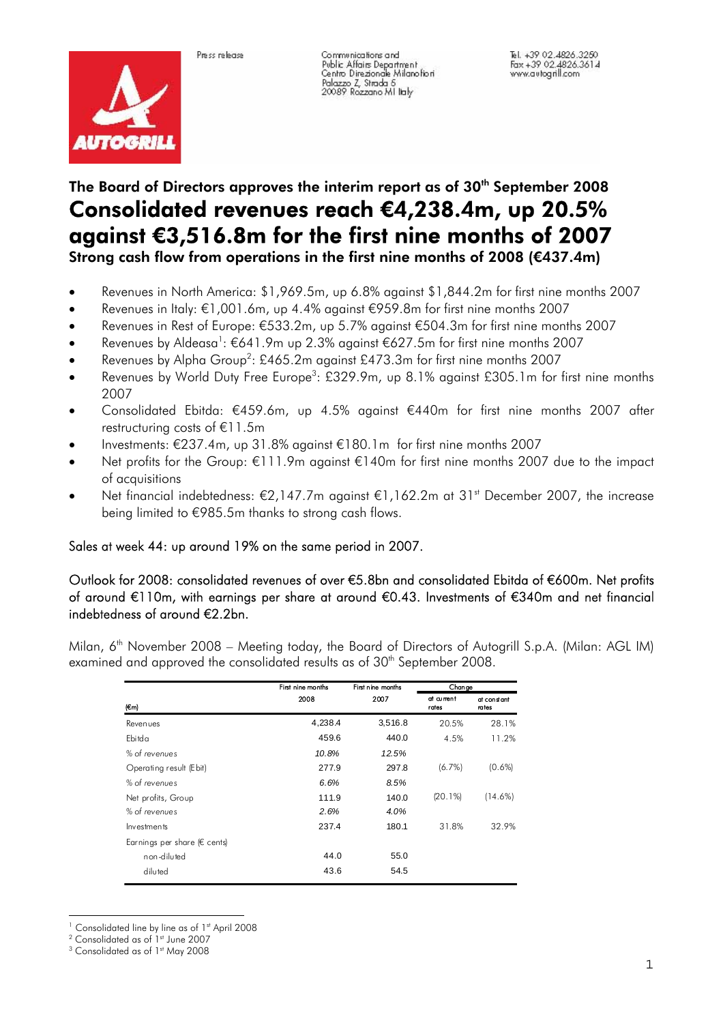



Communications and Communications and<br>Public Affairs Department<br>Centro Direzionale Milanofiori Palazzo Z, Strada 5<br>20089 Rozzano Militaty

Tel. +39.02.4826.3250 Fax +39 02.4826.3200<br>Www.autogrill.com

## The Board of Directors approves the interim report as of 30<sup>th</sup> September 2008 Consolidated revenues reach €4,238.4m, up 20.5% against €3,516.8m for the first nine months of 2007 Strong cash flow from operations in the first nine months of 2008 (€437.4m)

- Revenues in North America: \$1,969.5m, up 6.8% against \$1,844.2m for first nine months 2007
- Revenues in Italy: €1,001.6m, up 4.4% against €959.8m for first nine months 2007
- Revenues in Rest of Europe: €533.2m, up 5.7% against €504.3m for first nine months 2007
- Revenues by Aldeasa<sup>1</sup>: €641.9m up 2.3% against €627.5m for first nine months 2007
- Revenues by Alpha Group<sup>2</sup>: £465.2m against £473.3m for first nine months 2007
- Revenues by World Duty Free Europe<sup>3</sup>: £329.9m, up 8.1% against £305.1m for first nine months 2007
- Consolidated Ebitda: €459.6m, up 4.5% against €440m for first nine months 2007 after restructuring costs of €11.5m
- Investments: €237.4m, up 31.8% against €180.1m for first nine months 2007
- Net profits for the Group: €111.9m against €140m for first nine months 2007 due to the impact of acquisitions
- Net financial indebtedness: €2,147.7m against €1,162.2m at 31<sup>st</sup> December 2007, the increase being limited to €985.5m thanks to strong cash flows.

## Sales at week 44: up around 19% on the same period in 2007.

Outlook for 2008: consolidated revenues of over €5.8bn and consolidated Ebitda of €600m. Net profits of around €110m, with earnings per share at around €0.43. Investments of €340m and net financial indebtedness of around €2.2bn.

Milan, 6<sup>th</sup> November 2008 – Meeting today, the Board of Directors of Autogrill S.p.A. (Milan: AGL IM) examined and approved the consolidated results as of 30<sup>th</sup> September 2008.

|                              | First nine months | First nine months | Chan ge             |                      |
|------------------------------|-------------------|-------------------|---------------------|----------------------|
| (Em)                         | 2008              | 2007              | at current<br>rates | at constant<br>rates |
| Revenues                     | 4,238.4           | 3,516.8           | 20.5%               | 28.1%                |
| Ebitda                       | 459.6             | 440.0             | 4.5%                | 11.2%                |
| % of revenues                | 10.8%             | 12.5%             |                     |                      |
| Operating result (Ebit)      | 277.9             | 297.8             | $(6.7\%)$           | $(0.6\%)$            |
| % of revenues                | 6.6%              | 8.5%              |                     |                      |
| Net profits, Group           | 111.9             | 140.0             | (20.1%)             | $(14.6\%)$           |
| % of revenues                | 2.6%              | 4.0%              |                     |                      |
| Investments                  | 237.4             | 180.1             | 31.8%               | 32.9%                |
| Earnings per share (€ cents) |                   |                   |                     |                      |
| non-diluted                  | 44.0              | 55.0              |                     |                      |
| diluted                      | 43.6              | 54.5              |                     |                      |

 $2$  Consolidated as of  $1<sup>st</sup>$  June 2007

<sup>&</sup>lt;sup>3</sup> Consolidated as of 1st May 2008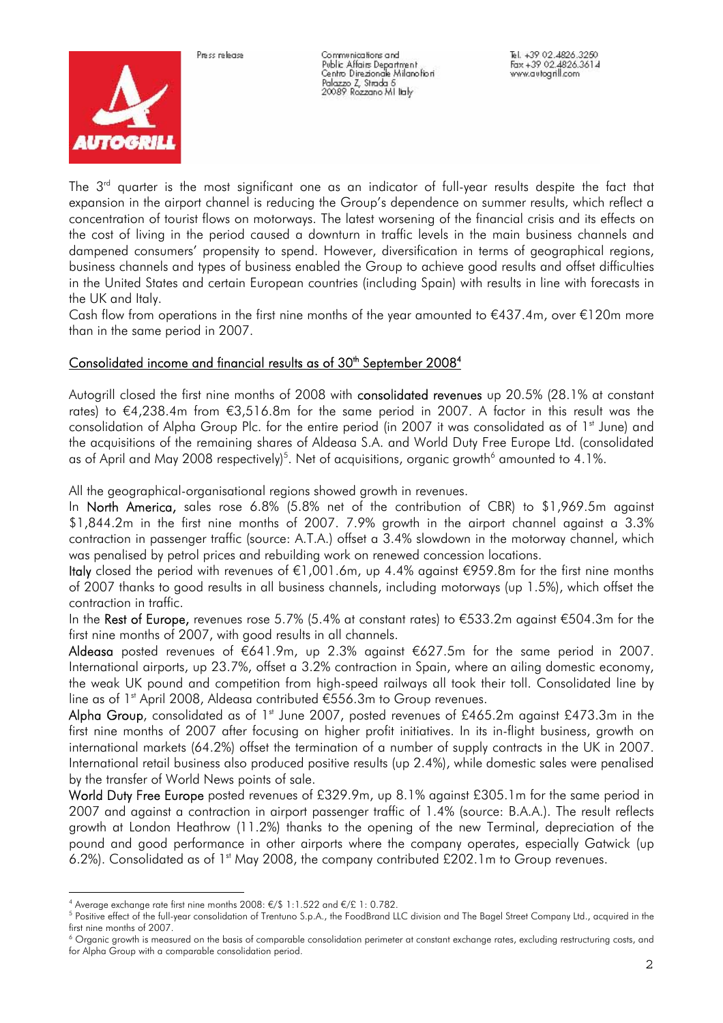



Communications and Communications and<br>Public Affairs Department<br>Centro Direzionale Milanofiori Palazzo Z, Strada 5<br>20089 Rozzano MI lialy

The  $3<sup>rd</sup>$  quarter is the most significant one as an indicator of full-year results despite the fact that expansion in the airport channel is reducing the Group's dependence on summer results, which reflect a concentration of tourist flows on motorways. The latest worsening of the financial crisis and its effects on the cost of living in the period caused a downturn in traffic levels in the main business channels and dampened consumers' propensity to spend. However, diversification in terms of geographical regions, business channels and types of business enabled the Group to achieve good results and offset difficulties in the United States and certain European countries (including Spain) with results in line with forecasts in the UK and Italy.

Cash flow from operations in the first nine months of the year amounted to  $\epsilon$ 437.4m, over  $\epsilon$ 120m more than in the same period in 2007.

## Consolidated income and financial results as of 30<sup>th</sup> September 2008<sup>4</sup>

Autogrill closed the first nine months of 2008 with consolidated revenues up 20.5% (28.1% at constant rates) to €4,238.4m from €3,516.8m for the same period in 2007. A factor in this result was the consolidation of Alpha Group Plc. for the entire period (in 2007 it was consolidated as of 1<sup>st</sup> June) and the acquisitions of the remaining shares of Aldeasa S.A. and World Duty Free Europe Ltd. (consolidated as of April and May 2008 respectively) $^5$ . Net of acquisitions, organic growth $^6$  amounted to 4.1%.

All the geographical-organisational regions showed growth in revenues.

In North America, sales rose 6.8% (5.8% net of the contribution of CBR) to \$1,969.5m against \$1,844.2m in the first nine months of 2007. 7.9% growth in the airport channel against a 3.3% contraction in passenger traffic (source: A.T.A.) offset a 3.4% slowdown in the motorway channel, which was penalised by petrol prices and rebuilding work on renewed concession locations.

Italy closed the period with revenues of €1,001.6m, up 4.4% against €959.8m for the first nine months of 2007 thanks to good results in all business channels, including motorways (up 1.5%), which offset the contraction in traffic.

In the Rest of Europe, revenues rose 5.7% (5.4% at constant rates) to €533.2m against €504.3m for the first nine months of 2007, with good results in all channels.

Aldeasa posted revenues of €641.9m, up 2.3% against €627.5m for the same period in 2007. International airports, up 23.7%, offset a 3.2% contraction in Spain, where an ailing domestic economy, the weak UK pound and competition from high-speed railways all took their toll. Consolidated line by line as of 1<sup>st</sup> April 2008, Aldeasa contributed  $\epsilon$ 556.3m to Group revenues.

Alpha Group, consolidated as of 1st June 2007, posted revenues of £465.2m against £473.3m in the first nine months of 2007 after focusing on higher profit initiatives. In its in-flight business, growth on international markets (64.2%) offset the termination of a number of supply contracts in the UK in 2007. International retail business also produced positive results (up 2.4%), while domestic sales were penalised by the transfer of World News points of sale.

World Duty Free Europe posted revenues of £329.9m, up 8.1% against £305.1m for the same period in 2007 and against a contraction in airport passenger traffic of 1.4% (source: B.A.A.). The result reflects growth at London Heathrow (11.2%) thanks to the opening of the new Terminal, depreciation of the pound and good performance in other airports where the company operates, especially Gatwick (up 6.2%). Consolidated as of  $1<sup>st</sup>$  May 2008, the company contributed £202.1m to Group revenues.

<sup>÷.</sup> <sup>4</sup> Average exchange rate first nine months 2008: €/\$ 1:1.522 and €/£ 1: 0.782.<br><sup>5</sup> Positive effect of the full year consolidation of Trantune S.p. A., the EoodBrand U

<sup>&</sup>lt;sup>5</sup> Positive effect of the full-year consolidation of Trentuno S.p.A., the FoodBrand LLC division and The Bagel Street Company Ltd., acquired in the first nine months of 2007.

 $^6$  Organic growth is measured on the basis of comparable consolidation perimeter at constant exchange rates, excluding restructuring costs, and for Alpha Group with a comparable consolidation period.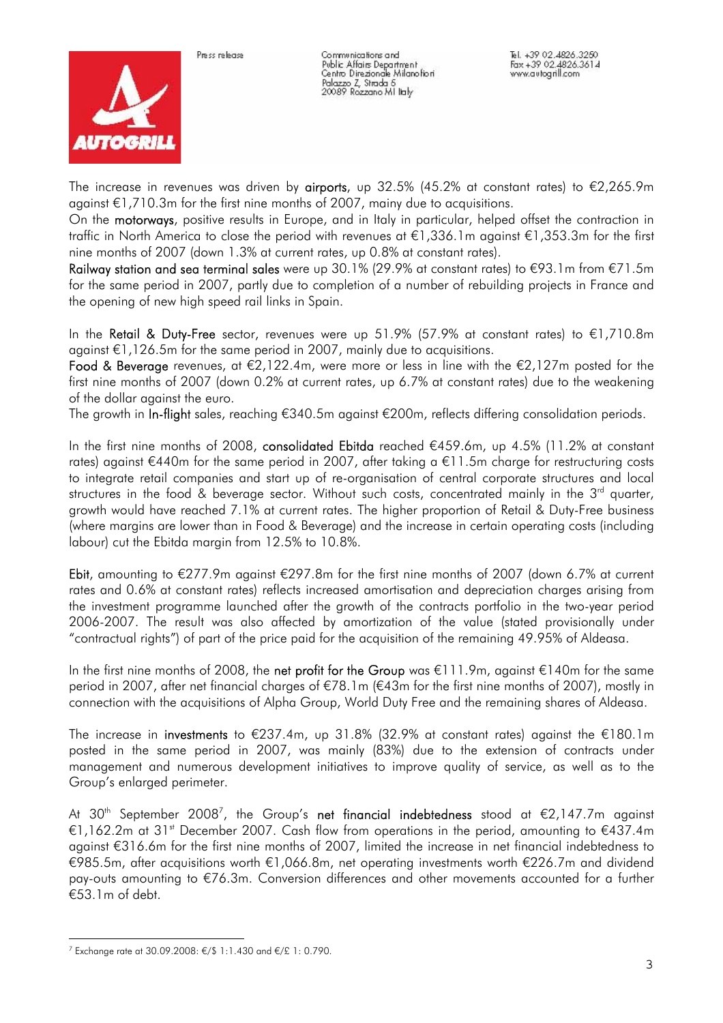



Communications and Communications and<br>Public Affairs Department<br>Centro Direzionale Milanofiori Palazzo Z, Strada 5<br>20089 Rozzano MI lialy

The increase in revenues was driven by **airports**, up 32.5% (45.2% at constant rates) to  $\epsilon$ 2,265.9m against €1,710.3m for the first nine months of 2007, mainy due to acquisitions.

On the motorways, positive results in Europe, and in Italy in particular, helped offset the contraction in traffic in North America to close the period with revenues at €1,336.1m against €1,353.3m for the first nine months of 2007 (down 1.3% at current rates, up 0.8% at constant rates).

Railway station and sea terminal sales were up 30.1% (29.9% at constant rates) to €93.1m from €71.5m for the same period in 2007, partly due to completion of a number of rebuilding projects in France and the opening of new high speed rail links in Spain.

In the Retail & Duty-Free sector, revenues were up 51.9% (57.9% at constant rates) to €1,710.8m against €1,126.5m for the same period in 2007, mainly due to acquisitions.

Food & Beverage revenues, at  $\epsilon$ 2,122.4m, were more or less in line with the  $\epsilon$ 2,127m posted for the first nine months of 2007 (down 0.2% at current rates, up 6.7% at constant rates) due to the weakening of the dollar against the euro.

The growth in In-flight sales, reaching €340.5m against €200m, reflects differing consolidation periods.

In the first nine months of 2008, consolidated Ebitda reached €459.6m, up 4.5% (11.2% at constant rates) against €440m for the same period in 2007, after taking a €11.5m charge for restructuring costs to integrate retail companies and start up of re-organisation of central corporate structures and local structures in the food & beverage sector. Without such costs, concentrated mainly in the  $3<sup>rd</sup>$  quarter, growth would have reached 7.1% at current rates. The higher proportion of Retail & Duty-Free business (where margins are lower than in Food & Beverage) and the increase in certain operating costs (including labour) cut the Ebitda margin from 12.5% to 10.8%.

Ebit, amounting to  $\epsilon$ 277.9m against  $\epsilon$ 297.8m for the first nine months of 2007 (down 6.7% at current rates and 0.6% at constant rates) reflects increased amortisation and depreciation charges arising from the investment programme launched after the growth of the contracts portfolio in the two-year period 2006-2007. The result was also affected by amortization of the value (stated provisionally under "contractual rights") of part of the price paid for the acquisition of the remaining 49.95% of Aldeasa.

In the first nine months of 2008, the net profit for the Group was €111.9m, against €140m for the same period in 2007, after net financial charges of €78.1m (€43m for the first nine months of 2007), mostly in connection with the acquisitions of Alpha Group, World Duty Free and the remaining shares of Aldeasa.

The increase in investments to €237.4m, up 31.8% (32.9% at constant rates) against the €180.1m posted in the same period in 2007, was mainly (83%) due to the extension of contracts under management and numerous development initiatives to improve quality of service, as well as to the Group's enlarged perimeter.

At 30<sup>th</sup> September 2008<sup>7</sup>, the Group's **net financial indebtedness** stood at  $\epsilon$ 2,147.7m against €1,162.2m at 31<sup>st</sup> December 2007. Cash flow from operations in the period, amounting to  $€437.4m$ against €316.6m for the first nine months of 2007, limited the increase in net financial indebtedness to €985.5m, after acquisitions worth €1,066.8m, net operating investments worth €226.7m and dividend pay-outs amounting to €76.3m. Conversion differences and other movements accounted for a further €53.1m of debt.

i<br>L <sup>7</sup> Exchange rate at 30.09.2008: €/\$ 1:1.430 and €/£ 1: 0.790.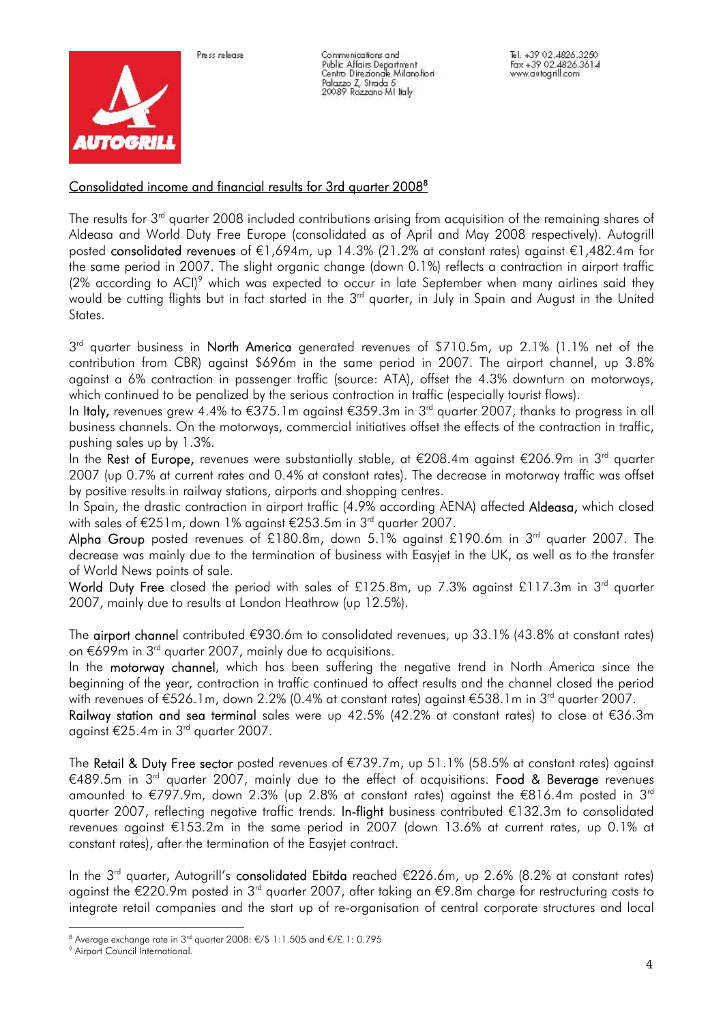



Communications and Communications and<br>Public Affairs Department<br>Centro Direzionale Milanofiori Palazzo Z, Strada 5<br>20089 Rozzano Militaty

## Consolidated income and financial results for 3rd quarter 2008<sup>8</sup>

The results for 3<sup>rd</sup> quarter 2008 included contributions arising from acquisition of the remaining shares of Aldeasa and World Duty Free Europe (consolidated as of April and May 2008 respectively). Autogrill posted consolidated revenues of €1,694m, up 14.3% (21.2% at constant rates) against €1,482.4m for the same period in 2007. The slight organic change (down 0.1%) reflects a contraction in airport traffic (2% according to ACI)<sup>9</sup> which was expected to occur in late September when many airlines said they would be cutting flights but in fact started in the 3<sup>rd</sup> quarter, in July in Spain and August in the United States.

3<sup>rd</sup> quarter business in North America generated revenues of \$710.5m, up 2.1% (1.1% net of the contribution from CBR) against \$696m in the same period in 2007. The airport channel, up 3.8% against a 6% contraction in passenger traffic (source: ATA), offset the 4.3% downturn on motorways, which continued to be penalized by the serious contraction in traffic (especially tourist flows).

In Italy, revenues grew 4.4% to €375.1m against €359.3m in 3rd quarter 2007, thanks to progress in all business channels. On the motorways, commercial initiatives offset the effects of the contraction in traffic, pushing sales up by 1.3%.

In the Rest of Europe, revenues were substantially stable, at €208.4m against €206.9m in 3rd quarter 2007 (up 0.7% at current rates and 0.4% at constant rates). The decrease in motorway traffic was offset by positive results in railway stations, airports and shopping centres.

In Spain, the drastic contraction in airport traffic (4.9% according AENA) affected Aldeasa, which closed with sales of €251m, down 1% against €253.5m in 3<sup>rd</sup> quarter 2007.

Alpha Group posted revenues of £180.8m, down 5.1% against £190.6m in  $3<sup>rd</sup>$  quarter 2007. The decrease was mainly due to the termination of business with Easyjet in the UK, as well as to the transfer of World News points of sale.

World Duty Free closed the period with sales of £125.8m, up 7.3% against £117.3m in 3<sup>rd</sup> auarter 2007, mainly due to results at London Heathrow (up 12.5%).

The airport channel contributed €930.6m to consolidated revenues, up 33.1% (43.8% at constant rates) on €699m in 3rd quarter 2007, mainly due to acquisitions.

In the **motorway channel**, which has been suffering the negative trend in North America since the beginning of the year, contraction in traffic continued to affect results and the channel closed the period with revenues of €526.1m, down 2.2% (0.4% at constant rates) against €538.1m in 3<sup>rd</sup> quarter 2007.

Railway station and sea terminal sales were up 42.5% (42.2% at constant rates) to close at €36.3m against  $\epsilon$ 25.4m in 3<sup>rd</sup> quarter 2007.

The Retail & Duty Free sector posted revenues of €739.7m, up 51.1% (58.5% at constant rates) against €489.5m in 3<sup>rd</sup> quarter 2007, mainly due to the effect of acquisitions. Food & Beverage revenues amounted to €797.9m, down 2.3% (up 2.8% at constant rates) against the €816.4m posted in 3rd quarter 2007, reflecting negative traffic trends. In-flight business contributed €132.3m to consolidated revenues against €153.2m in the same period in 2007 (down 13.6% at current rates, up 0.1% at constant rates), after the termination of the Easyjet contract.

In the 3<sup>rd</sup> quarter, Autogrill's **consolidated Ebitda** reached  $\epsilon$ 226.6m, up 2.6% (8.2% at constant rates) against the €220.9m posted in 3rd quarter 2007, after taking an €9.8m charge for restructuring costs to integrate retail companies and the start up of re-organisation of central corporate structures and local

<sup>&</sup>lt;sup>8</sup> Average exchange rate in 3<sup>rd</sup> quarter 2008: €/\$ 1:1.505 and €/£ 1: 0.795<br><sup>9</sup> Airport Council International

<sup>&</sup>lt;sup>9</sup> Airport Council International.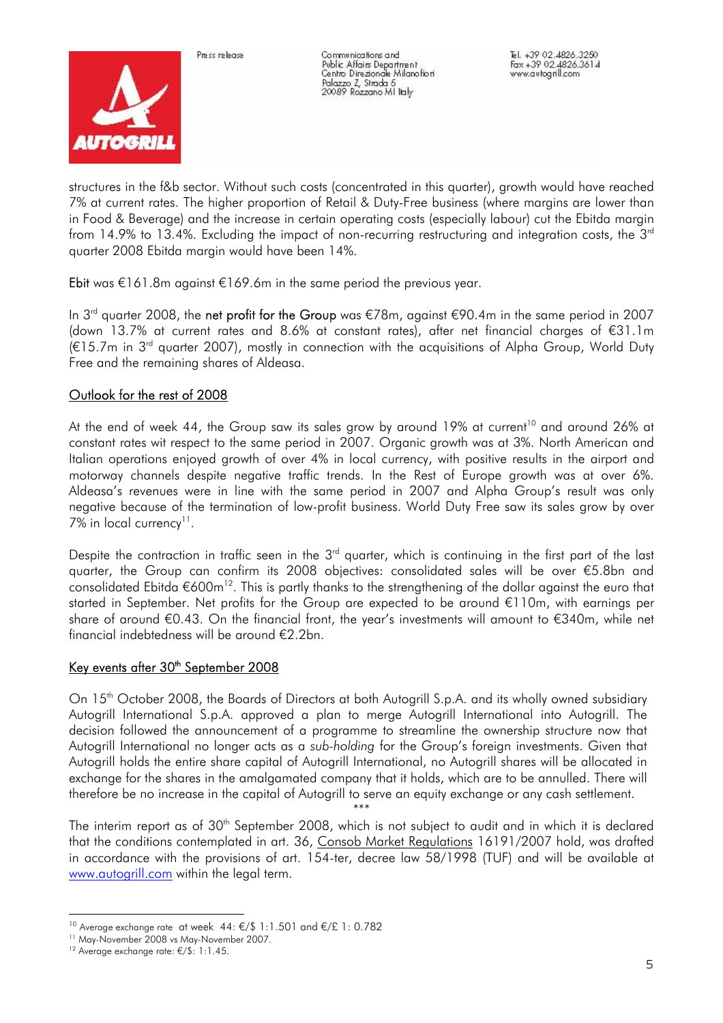

Communications and Communications and<br>Public Affairs Department<br>Centro Direzionale Milanofiori Palazzo Z, Strada 5<br>20089 Rozzano Militaty

structures in the f&b sector. Without such costs (concentrated in this quarter), growth would have reached 7% at current rates. The higher proportion of Retail & Duty-Free business (where margins are lower than in Food & Beverage) and the increase in certain operating costs (especially labour) cut the Ebitda margin from 14.9% to 13.4%. Excluding the impact of non-recurring restructuring and integration costs, the 3<sup>rd</sup> quarter 2008 Ebitda margin would have been 14%.

Ebit was  $\epsilon$ 161.8m against  $\epsilon$ 169.6m in the same period the previous year.

In 3<sup>rd</sup> quarter 2008, the **net profit for the Group** was €78m, against €90.4m in the same period in 2007 (down 13.7% at current rates and 8.6% at constant rates), after net financial charges of €31.1m  $(€15.7m$  in 3<sup>rd</sup> quarter 2007), mostly in connection with the acquisitions of Alpha Group, World Duty Free and the remaining shares of Aldeasa.

## Outlook for the rest of 2008

At the end of week 44, the Group saw its sales grow by around 19% at current<sup>10</sup> and around 26% at constant rates wit respect to the same period in 2007. Organic growth was at 3%. North American and Italian operations enjoyed growth of over 4% in local currency, with positive results in the airport and motorway channels despite negative traffic trends. In the Rest of Europe growth was at over 6%. Aldeasa's revenues were in line with the same period in 2007 and Alpha Group's result was only negative because of the termination of low-profit business. World Duty Free saw its sales grow by over 7% in local currency<sup>11</sup>.

Despite the contraction in traffic seen in the  $3<sup>rd</sup>$  quarter, which is continuing in the first part of the last quarter, the Group can confirm its 2008 objectives: consolidated sales will be over €5.8bn and consolidated Ebitda  $\epsilon$ 600m<sup>12</sup>. This is partly thanks to the strengthening of the dollar against the euro that started in September. Net profits for the Group are expected to be around €110m, with earnings per share of around €0.43. On the financial front, the year's investments will amount to €340m, while net financial indebtedness will be around €2.2bn.

#### Key events after 30<sup>th</sup> September 2008

On 15<sup>th</sup> October 2008, the Boards of Directors at both Autogrill S.p.A. and its wholly owned subsidiary Autogrill International S.p.A. approved a plan to merge Autogrill International into Autogrill. The decision followed the announcement of a programme to streamline the ownership structure now that Autogrill International no longer acts as a *sub-holding* for the Group's foreign investments. Given that Autogrill holds the entire share capital of Autogrill International, no Autogrill shares will be allocated in exchange for the shares in the amalgamated company that it holds, which are to be annulled. There will therefore be no increase in the capital of Autogrill to serve an equity exchange or any cash settlement.

The interim report as of 30<sup>th</sup> September 2008, which is not subject to audit and in which it is declared that the conditions contemplated in art. 36, Consob Market Regulations 16191/2007 hold, was drafted in accordance with the provisions of art. 154-ter, decree law 58/1998 (TUF) and will be available at www.autogrill.com within the legal term.

\*\*\*

<sup>÷.</sup> <sup>10</sup> Average exchange rate at week 44: €/\$ 1:1.501 and €/£ 1: 0.782<br><sup>11</sup> May-November 2008 vs May-November 2007.

<sup>12</sup> Average exchange rate: €/\$: 1:1.45.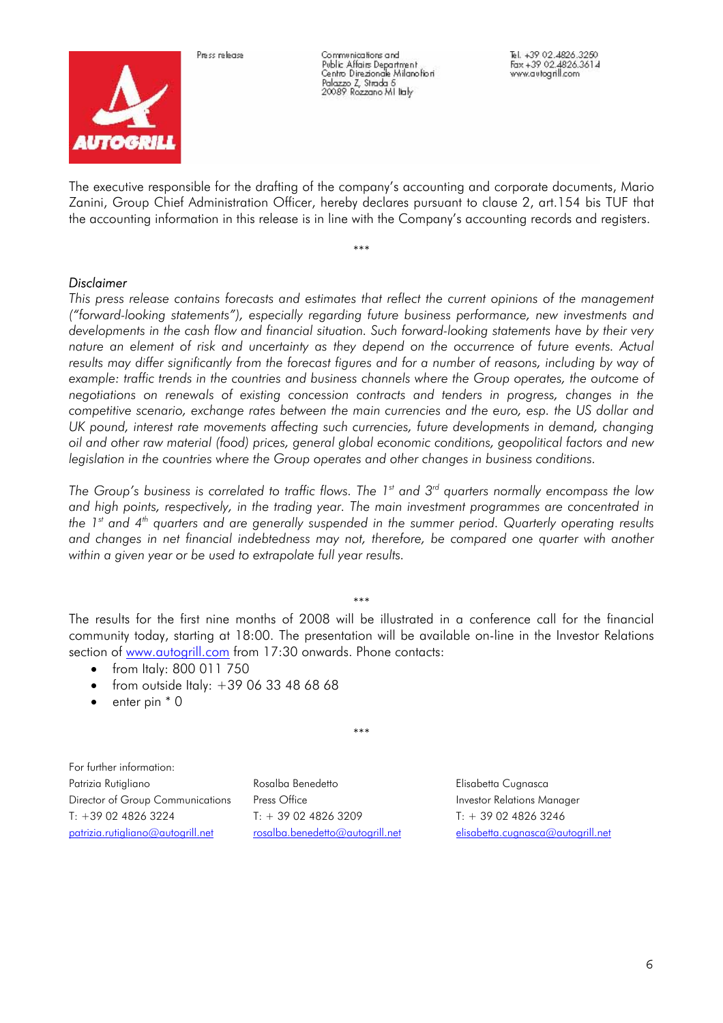



Communications and Communications and<br>Public Affairs Department<br>Centro Direzionale Milanofiori Palazzo Z, Strada 5<br>20089 Rozzano MI lialy

The executive responsible for the drafting of the company's accounting and corporate documents, Mario Zanini, Group Chief Administration Officer, hereby declares pursuant to clause 2, art.154 bis TUF that the accounting information in this release is in line with the Company's accounting records and registers.

\*\*\*

#### *Disclaimer*

*This press release contains forecasts and estimates that reflect the current opinions of the management ("forward-looking statements"), especially regarding future business performance, new investments and developments in the cash flow and financial situation. Such forward-looking statements have by their very nature an element of risk and uncertainty as they depend on the occurrence of future events. Actual*  results may differ significantly from the forecast figures and for a number of reasons, including by way of *example: traffic trends in the countries and business channels where the Group operates, the outcome of negotiations on renewals of existing concession contracts and tenders in progress, changes in the competitive scenario, exchange rates between the main currencies and the euro, esp. the US dollar and UK pound, interest rate movements affecting such currencies, future developments in demand, changing oil and other raw material (food) prices, general global economic conditions, geopolitical factors and new legislation in the countries where the Group operates and other changes in business conditions.* 

*The Group's business is correlated to traffic flows. The 1<sup>st</sup> and 3<sup>rd</sup> quarters normally encompass the low and high points, respectively, in the trading year. The main investment programmes are concentrated in the 1st and 4th quarters and are generally suspended in the summer period. Quarterly operating results and changes in net financial indebtedness may not, therefore, be compared one quarter with another within a given year or be used to extrapolate full year results.* 

\*\*\*

The results for the first nine months of 2008 will be illustrated in a conference call for the financial community today, starting at 18:00. The presentation will be available on-line in the Investor Relations section of www.autogrill.com from 17:30 onwards. Phone contacts:

- from Italy: 800 011 750
- from outside Italy:  $+390633486868$
- enter pin  $*$  0

\*\*\*

For further information: Patrizia Rutigliano **Rosalba Benedetto Rosalba Benedetto** Elisabetta Cugnasca Director of Group Communications Press Office **Investor Relations Manager** Press Press Office T: +39 02 4826 3224 T: + 39 02 4826 3209 T: + 39 02 4826 3246 patrizia.rutigliano@autogrill.net rosalba.benedetto@autogrill.net elisabetta.cugnasca@autogrill.net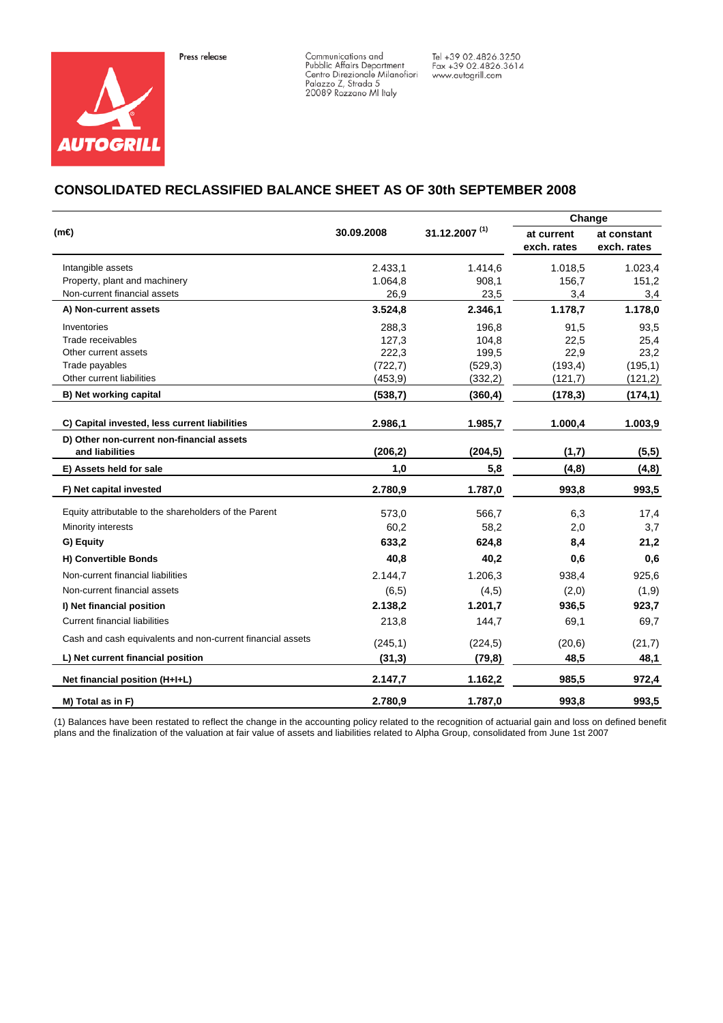



Communications and<br>Pubblic Affairs Department<br>Centro Direzionale Milanofiori<br>Palazzo Z, Strada 5<br>20089 Rozzano Ml Italy

Tel +39 02.4826.3250<br>Fax +39 02.4826.3614<br>www.autogrill.com

### **CONSOLIDATED RECLASSIFIED BALANCE SHEET AS OF 30th SEPTEMBER 2008**

|                                                            |            |                           | Change                    |                            |
|------------------------------------------------------------|------------|---------------------------|---------------------------|----------------------------|
| $(m\triangleleft$                                          | 30.09.2008 | 31.12.2007 <sup>(1)</sup> | at current<br>exch. rates | at constant<br>exch. rates |
| Intangible assets                                          | 2.433,1    | 1.414,6                   | 1.018,5                   | 1.023,4                    |
| Property, plant and machinery                              | 1.064,8    | 908,1                     | 156,7                     | 151,2                      |
| Non-current financial assets                               | 26,9       | 23,5                      | 3,4                       | 3,4                        |
| A) Non-current assets                                      | 3.524,8    | 2.346,1                   | 1.178,7                   | 1.178,0                    |
| Inventories                                                | 288,3      | 196,8                     | 91,5                      | 93,5                       |
| Trade receivables                                          | 127,3      | 104,8                     | 22,5                      | 25,4                       |
| Other current assets                                       | 222,3      | 199,5                     | 22,9                      | 23,2                       |
| Trade payables                                             | (722, 7)   | (529,3)                   | (193, 4)                  | (195, 1)                   |
| Other current liabilities                                  | (453, 9)   | (332,2)                   | (121,7)                   | (121, 2)                   |
| B) Net working capital                                     | (538,7)    | (360, 4)                  | (178, 3)                  | (174, 1)                   |
| C) Capital invested, less current liabilities              | 2.986,1    | 1.985,7                   | 1.000,4                   | 1.003,9                    |
| D) Other non-current non-financial assets                  |            |                           |                           |                            |
| and liabilities                                            | (206, 2)   | (204, 5)                  | (1,7)                     | (5,5)                      |
| E) Assets held for sale                                    | 1,0        | 5,8                       | (4, 8)                    | (4, 8)                     |
| F) Net capital invested                                    | 2.780,9    | 1.787,0                   | 993,8                     | 993,5                      |
| Equity attributable to the shareholders of the Parent      | 573,0      | 566,7                     | 6,3                       | 17,4                       |
| Minority interests                                         | 60,2       | 58,2                      | 2,0                       | 3,7                        |
| G) Equity                                                  | 633,2      | 624,8                     | 8,4                       | 21,2                       |
| H) Convertible Bonds                                       | 40,8       | 40,2                      | 0,6                       | 0,6                        |
| Non-current financial liabilities                          | 2.144,7    | 1.206,3                   | 938,4                     | 925,6                      |
| Non-current financial assets                               | (6, 5)     | (4,5)                     | (2,0)                     | (1, 9)                     |
| I) Net financial position                                  | 2.138,2    | 1.201,7                   | 936,5                     | 923,7                      |
| <b>Current financial liabilities</b>                       | 213,8      | 144,7                     | 69,1                      | 69,7                       |
| Cash and cash equivalents and non-current financial assets | (245, 1)   | (224, 5)                  | (20,6)                    | (21,7)                     |
| L) Net current financial position                          | (31,3)     | (79, 8)                   | 48,5                      | 48,1                       |
| Net financial position (H+I+L)                             | 2.147,7    | 1.162,2                   | 985,5                     | 972,4                      |
| M) Total as in F)                                          | 2.780,9    | 1.787,0                   | 993,8                     | 993,5                      |

(1) Balances have been restated to reflect the change in the accounting policy related to the recognition of actuarial gain and loss on defined benefit plans and the finalization of the valuation at fair value of assets and liabilities related to Alpha Group, consolidated from June 1st 2007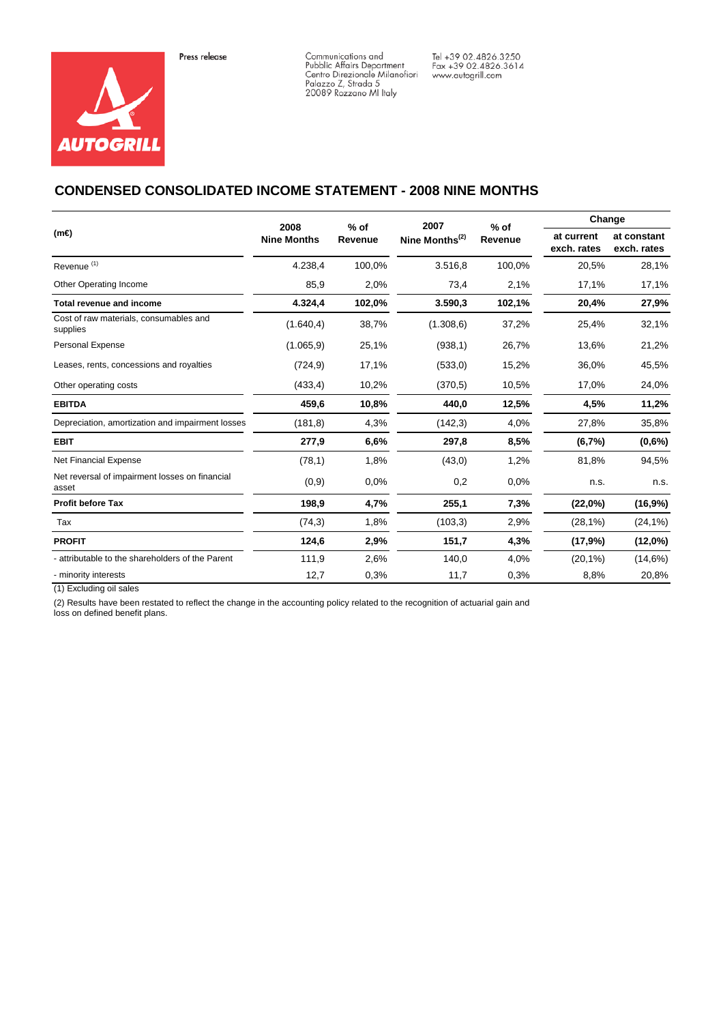



Communications and<br>Pubblic Affairs Department<br>Centro Direzionale Milanofiori<br>Palazzo Z, Strada 5<br>20089 Rozzano Ml Italy

Tel +39 02.4826.3250<br>Fax +39 02.4826.3614<br>www.autogrill.com

### **CONDENSED CONSOLIDATED INCOME STATEMENT - 2008 NINE MONTHS**

| $(m\Theta)$                                             | 2008               | $%$ of<br>Revenue | 2007                       | $%$ of  | Change                    |                            |
|---------------------------------------------------------|--------------------|-------------------|----------------------------|---------|---------------------------|----------------------------|
|                                                         | <b>Nine Months</b> |                   | Nine Months <sup>(2)</sup> | Revenue | at current<br>exch. rates | at constant<br>exch. rates |
| Revenue <sup>(1)</sup>                                  | 4.238,4            | 100,0%            | 3.516,8                    | 100,0%  | 20,5%                     | 28,1%                      |
| Other Operating Income                                  | 85,9               | 2,0%              | 73,4                       | 2,1%    | 17,1%                     | 17,1%                      |
| Total revenue and income                                | 4.324,4            | 102,0%            | 3.590,3                    | 102,1%  | 20,4%                     | 27,9%                      |
| Cost of raw materials, consumables and<br>supplies      | (1.640, 4)         | 38,7%             | (1.308, 6)                 | 37,2%   | 25,4%                     | 32,1%                      |
| <b>Personal Expense</b>                                 | (1.065, 9)         | 25,1%             | (938, 1)                   | 26,7%   | 13,6%                     | 21,2%                      |
| Leases, rents, concessions and royalties                | (724, 9)           | 17,1%             | (533,0)                    | 15,2%   | 36,0%                     | 45,5%                      |
| Other operating costs                                   | (433, 4)           | 10,2%             | (370.5)                    | 10,5%   | 17,0%                     | 24,0%                      |
| <b>EBITDA</b>                                           | 459,6              | 10,8%             | 440,0                      | 12,5%   | 4,5%                      | 11,2%                      |
| Depreciation, amortization and impairment losses        | (181, 8)           | 4,3%              | (142,3)                    | 4,0%    | 27,8%                     | 35,8%                      |
| <b>EBIT</b>                                             | 277,9              | 6,6%              | 297,8                      | 8,5%    | (6,7%                     | $(0,6\%)$                  |
| Net Financial Expense                                   | (78,1)             | 1,8%              | (43,0)                     | 1,2%    | 81,8%                     | 94,5%                      |
| Net reversal of impairment losses on financial<br>asset | (0,9)              | 0.0%              | 0,2                        | 0.0%    | n.s.                      | n.s.                       |
| <b>Profit before Tax</b>                                | 198,9              | 4,7%              | 255,1                      | 7,3%    | (22,0%)                   | (16,9%)                    |
| Tax                                                     | (74,3)             | 1,8%              | (103,3)                    | 2,9%    | (28,1%)                   | $(24, 1\%)$                |
| <b>PROFIT</b>                                           | 124,6              | 2,9%              | 151,7                      | 4,3%    | (17,9%)                   | $(12,0\%)$                 |
| - attributable to the shareholders of the Parent        | 111,9              | 2,6%              | 140,0                      | 4,0%    | $(20,1\%)$                | (14,6%)                    |
| - minority interests                                    | 12,7               | 0,3%              | 11,7                       | 0,3%    | 8,8%                      | 20,8%                      |

(1) Excluding oil sales

(2) Results have been restated to reflect the change in the accounting policy related to the recognition of actuarial gain and

loss on defined benefit plans.